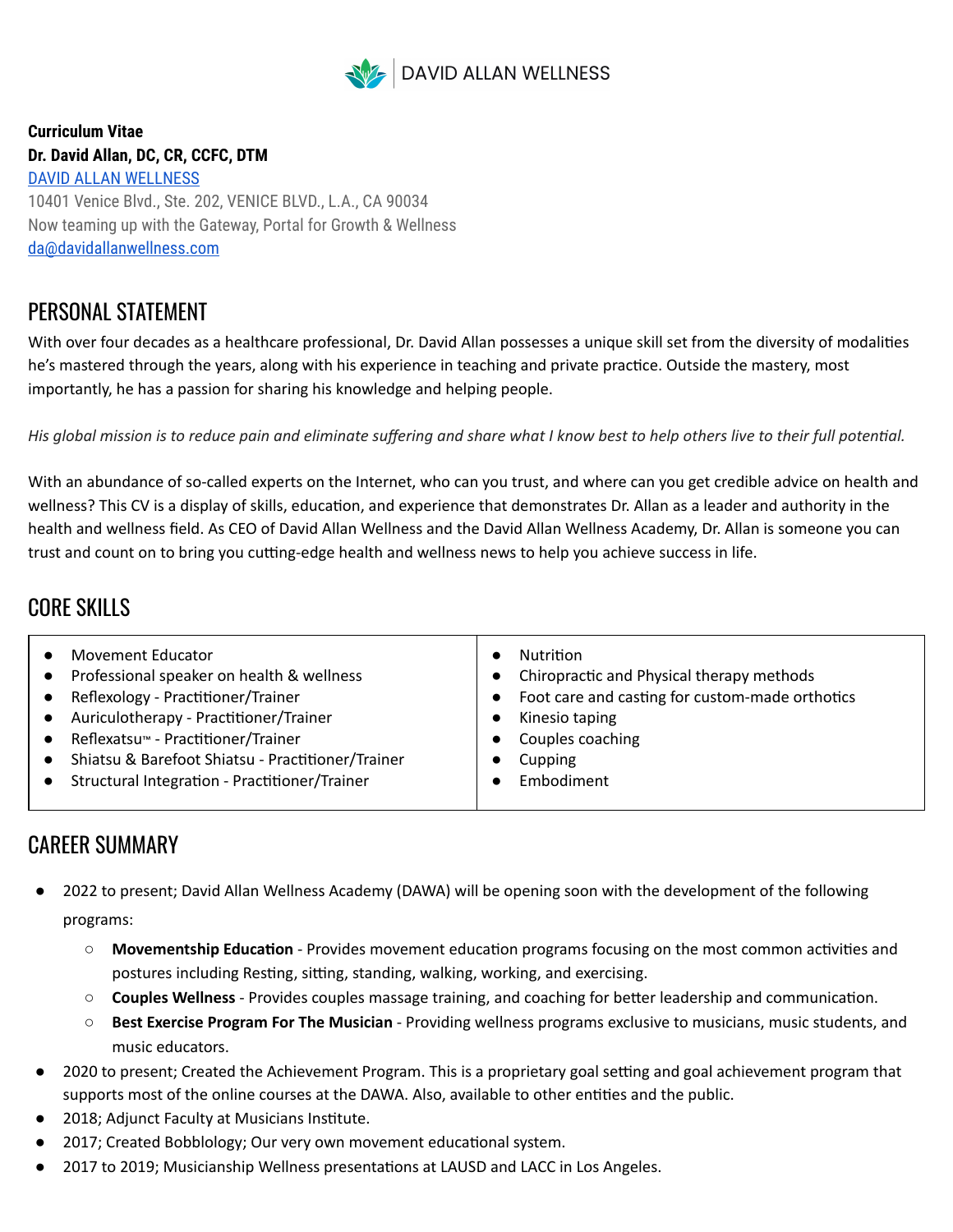

**Curriculum Vitae Dr. David Allan, DC, CR, CCFC, DTM** DAVID ALLAN [WELLNESS](https://davidallanwellness.com/) 10401 Venice Blvd., Ste. 202, VENICE BLVD., L.A., CA 90034 Now teaming up with the Gateway, Portal for Growth & Wellness [da@davidallanwellness.com](mailto:da@davidallanwellness.com)

### PERSONAL STATEMENT

With over four decades as a healthcare professional, Dr. David Allan possesses a unique skill set from the diversity of modalities he's mastered through the years, along with his experience in teaching and private practice. Outside the mastery, most importantly, he has a passion for sharing his knowledge and helping people.

His global mission is to reduce pain and eliminate suffering and share what I know best to help others live to their full potential.

With an abundance of so-called experts on the Internet, who can you trust, and where can you get credible advice on health and wellness? This CV is a display of skills, education, and experience that demonstrates Dr. Allan as a leader and authority in the health and wellness field. As CEO of David Allan Wellness and the David Allan Wellness Academy, Dr. Allan is someone you can trust and count on to bring you cutting-edge health and wellness news to help you achieve success in life.

### CORE SKILLS

### CAREER SUMMARY

- 2022 to present; David Allan Wellness Academy (DAWA) will be opening soon with the development of the following programs:
	- $\circ$  **Movementship Education** Provides movement education programs focusing on the most common activities and postures including Resting, sitting, standing, walking, working, and exercising.
	- $\circ$  **Couples Wellness** Provides couples massage training, and coaching for better leadership and communication.
	- **Best Exercise Program For The Musician** Providing wellness programs exclusive to musicians, music students, and music educators.
- 2020 to present; Created the Achievement Program. This is a proprietary goal setting and goal achievement program that supports most of the online courses at the DAWA. Also, available to other entities and the public.
- 2018; Adjunct Faculty at Musicians Institute.
- 2017; Created Bobblology; Our very own movement educational system.
- 2017 to 2019; Musicianship Wellness presentations at LAUSD and LACC in Los Angeles.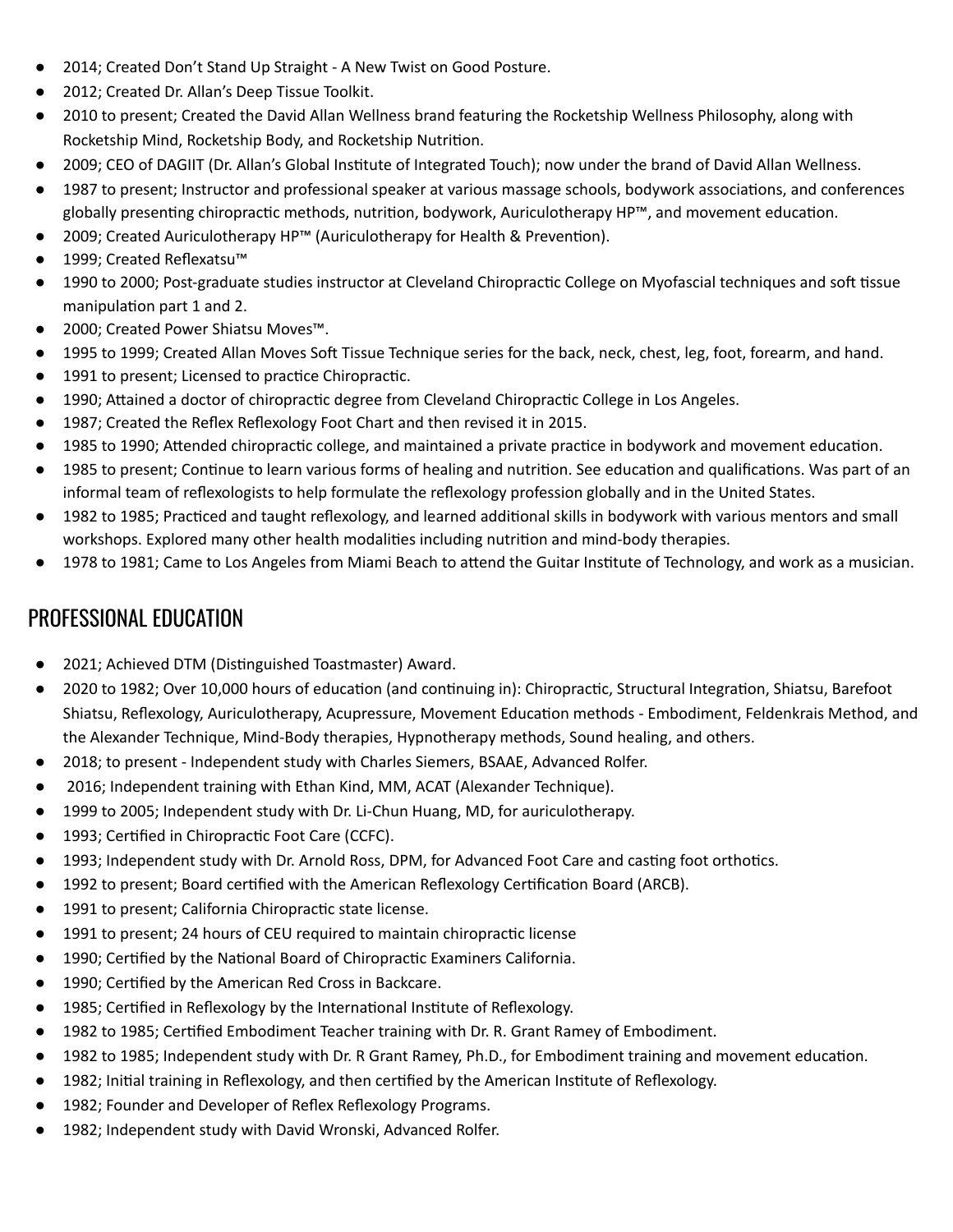- 2014; Created Don't Stand Up Straight A New Twist on Good Posture.
- 2012; Created Dr. Allan's Deep Tissue Toolkit.
- 2010 to present; Created the David Allan Wellness brand featuring the Rocketship Wellness Philosophy, along with Rocketship Mind, Rocketship Body, and Rocketship Nutrition.
- 2009; CEO of DAGIIT (Dr. Allan's Global Institute of Integrated Touch); now under the brand of David Allan Wellness.
- 1987 to present; Instructor and professional speaker at various massage schools, bodywork associations, and conferences globally presenting chiropractic methods, nutrition, bodywork, Auriculotherapy HP™, and movement education.
- 2009; Created Auriculotherapy HP™ (Auriculotherapy for Health & Prevention).
- 1999; Created Reflexatsu™
- 1990 to 2000; Post-graduate studies instructor at Cleveland Chiropractic College on Myofascial techniques and soft tissue manipulation part 1 and 2.
- 2000; Created Power Shiatsu Moves™.
- 1995 to 1999; Created Allan Moves Soft Tissue Technique series for the back, neck, chest, leg, foot, forearm, and hand.
- 1991 to present; Licensed to practice Chiropractic.
- 1990; Attained a doctor of chiropractic degree from Cleveland Chiropractic College in Los Angeles.
- 1987; Created the Reflex Reflexology Foot Chart and then revised it in 2015.
- 1985 to 1990; Attended chiropractic college, and maintained a private practice in bodywork and movement education.
- 1985 to present; Continue to learn various forms of healing and nutrition. See education and qualifications. Was part of an informal team of reflexologists to help formulate the reflexology profession globally and in the United States.
- 1982 to 1985; Practiced and taught reflexology, and learned additional skills in bodywork with various mentors and small workshops. Explored many other health modalities including nutrition and mind-body therapies.
- 1978 to 1981; Came to Los Angeles from Miami Beach to attend the Guitar Institute of Technology, and work as a musician.

### PROFESSIONAL EDUCATION

- 2021; Achieved DTM (Distinguished Toastmaster) Award.
- 2020 to 1982; Over 10,000 hours of education (and continuing in): Chiropractic, Structural Integration, Shiatsu, Barefoot Shiatsu, Reflexology, Auriculotherapy, Acupressure, Movement Education methods - Embodiment, Feldenkrais Method, and the Alexander Technique, Mind-Body therapies, Hypnotherapy methods, Sound healing, and others.
- 2018; to present Independent study with Charles Siemers, BSAAE, Advanced Rolfer.
- 2016; Independent training with Ethan Kind, MM, ACAT (Alexander Technique).
- 1999 to 2005; Independent study with Dr. Li-Chun Huang, MD, for auriculotherapy.
- 1993; Certified in Chiropractic Foot Care (CCFC).
- 1993; Independent study with Dr. Arnold Ross, DPM, for Advanced Foot Care and casting foot orthotics.
- 1992 to present; Board certified with the American Reflexology Certification Board (ARCB).
- 1991 to present; California Chiropractic state license.
- 1991 to present; 24 hours of CEU required to maintain chiropractic license
- 1990; Certified by the National Board of Chiropractic Examiners California.
- 1990; Cerfied by the American Red Cross in Backcare.
- 1985; Certified in Reflexology by the International Institute of Reflexology.
- 1982 to 1985; Cerfied Embodiment Teacher training with Dr. R. Grant Ramey of Embodiment.
- 1982 to 1985; Independent study with Dr. R Grant Ramey, Ph.D., for Embodiment training and movement education.
- 1982; Initial training in Reflexology, and then certified by the American Institute of Reflexology.
- 1982; Founder and Developer of Reflex Reflexology Programs.
- 1982; Independent study with David Wronski, Advanced Rolfer.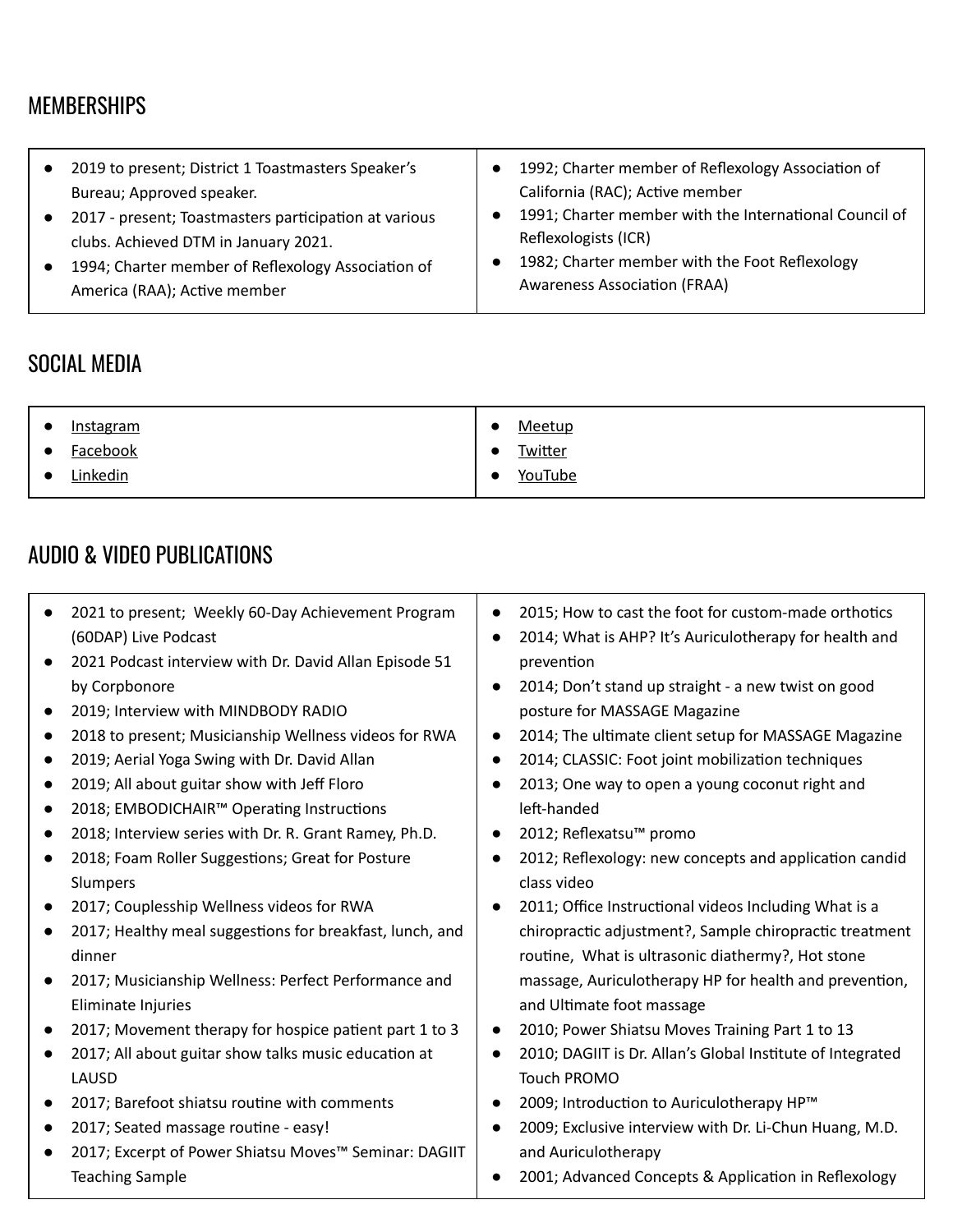## MEMBERSHIPS

## SOCIAL MEDIA

| $\bullet$ | <u>Instagram</u> | <b>Meetup</b>  |
|-----------|------------------|----------------|
|           | <b>Facebook</b>  | <b>Twitter</b> |
|           | Linkedin         | YouTube        |
|           |                  |                |

# AUDIO & VIDEO PUBLICATIONS

| 2021 to present; Weekly 60-Day Achievement Program                  | 2015; How to cast the foot for custom-made orthotics         |
|---------------------------------------------------------------------|--------------------------------------------------------------|
| (60DAP) Live Podcast                                                | 2014; What is AHP? It's Auriculotherapy for health and       |
| 2021 Podcast interview with Dr. David Allan Episode 51<br>$\bullet$ | prevention                                                   |
| by Corpbonore                                                       | 2014; Don't stand up straight - a new twist on good          |
| 2019; Interview with MINDBODY RADIO<br>$\bullet$                    | posture for MASSAGE Magazine                                 |
| 2018 to present; Musicianship Wellness videos for RWA<br>$\bullet$  | 2014; The ultimate client setup for MASSAGE Magazine         |
| 2019; Aerial Yoga Swing with Dr. David Allan<br>$\bullet$           | 2014; CLASSIC: Foot joint mobilization techniques            |
| 2019; All about guitar show with Jeff Floro<br>$\bullet$            | 2013; One way to open a young coconut right and              |
| 2018; EMBODICHAIR™ Operating Instructions<br>$\bullet$              | left-handed                                                  |
| 2018; Interview series with Dr. R. Grant Ramey, Ph.D.<br>$\bullet$  | 2012; Reflexatsu™ promo                                      |
| 2018; Foam Roller Suggestions; Great for Posture                    | 2012; Reflexology: new concepts and application candid       |
| Slumpers                                                            | class video                                                  |
| 2017; Couplesship Wellness videos for RWA<br>$\bullet$              | 2011; Office Instructional videos Including What is a        |
| 2017; Healthy meal suggestions for breakfast, lunch, and            | chiropractic adjustment?, Sample chiropractic treatment      |
| dinner                                                              | routine, What is ultrasonic diathermy?, Hot stone            |
| 2017; Musicianship Wellness: Perfect Performance and<br>$\bullet$   | massage, Auriculotherapy HP for health and prevention,       |
| Eliminate Injuries                                                  | and Ultimate foot massage                                    |
| 2017; Movement therapy for hospice patient part 1 to 3<br>$\bullet$ | 2010; Power Shiatsu Moves Training Part 1 to 13<br>$\bullet$ |
| 2017; All about guitar show talks music education at                | 2010; DAGIIT is Dr. Allan's Global Institute of Integrated   |
| LAUSD                                                               | <b>Touch PROMO</b>                                           |
| 2017; Barefoot shiatsu routine with comments<br>$\bullet$           | 2009; Introduction to Auriculotherapy HP™                    |
| 2017; Seated massage routine - easy!<br>$\bullet$                   | 2009; Exclusive interview with Dr. Li-Chun Huang, M.D.       |
| 2017; Excerpt of Power Shiatsu Moves™ Seminar: DAGIIT               | and Auriculotherapy                                          |
| <b>Teaching Sample</b>                                              | 2001; Advanced Concepts & Application in Reflexology         |